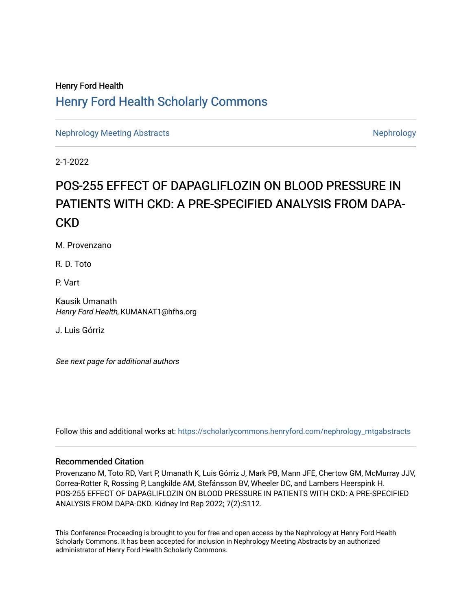# Henry Ford Health [Henry Ford Health Scholarly Commons](https://scholarlycommons.henryford.com/)

[Nephrology Meeting Abstracts](https://scholarlycommons.henryford.com/nephrology_mtgabstracts) [Nephrology](https://scholarlycommons.henryford.com/nephrology) Nephrology Nephrology

2-1-2022

# POS-255 EFFECT OF DAPAGLIFLOZIN ON BLOOD PRESSURE IN PATIENTS WITH CKD: A PRE-SPECIFIED ANALYSIS FROM DAPA-CKD

M. Provenzano

R. D. Toto

P. Vart

Kausik Umanath Henry Ford Health, KUMANAT1@hfhs.org

J. Luis Górriz

See next page for additional authors

Follow this and additional works at: [https://scholarlycommons.henryford.com/nephrology\\_mtgabstracts](https://scholarlycommons.henryford.com/nephrology_mtgabstracts?utm_source=scholarlycommons.henryford.com%2Fnephrology_mtgabstracts%2F43&utm_medium=PDF&utm_campaign=PDFCoverPages)

## Recommended Citation

Provenzano M, Toto RD, Vart P, Umanath K, Luis Górriz J, Mark PB, Mann JFE, Chertow GM, McMurray JJV, Correa-Rotter R, Rossing P, Langkilde AM, Stefánsson BV, Wheeler DC, and Lambers Heerspink H. POS-255 EFFECT OF DAPAGLIFLOZIN ON BLOOD PRESSURE IN PATIENTS WITH CKD: A PRE-SPECIFIED ANALYSIS FROM DAPA-CKD. Kidney Int Rep 2022; 7(2):S112.

This Conference Proceeding is brought to you for free and open access by the Nephrology at Henry Ford Health Scholarly Commons. It has been accepted for inclusion in Nephrology Meeting Abstracts by an authorized administrator of Henry Ford Health Scholarly Commons.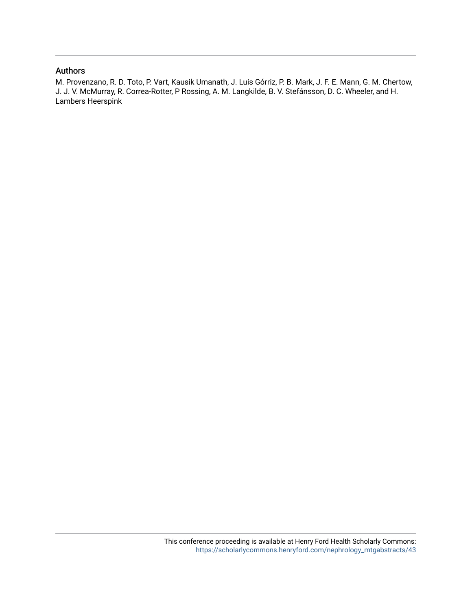## Authors

M. Provenzano, R. D. Toto, P. Vart, Kausik Umanath, J. Luis Górriz, P. B. Mark, J. F. E. Mann, G. M. Chertow, J. J. V. McMurray, R. Correa-Rotter, P Rossing, A. M. Langkilde, B. V. Stefánsson, D. C. Wheeler, and H. Lambers Heerspink